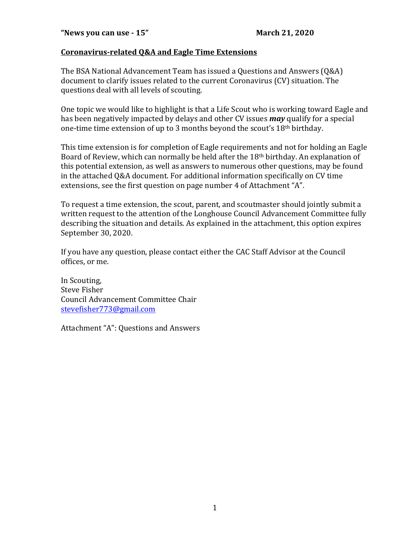#### **Coronavirus-related Q&A and Eagle Time Extensions**

The BSA National Advancement Team has issued a Questions and Answers (Q&A) document to clarify issues related to the current Coronavirus (CV) situation. The questions deal with all levels of scouting.

One topic we would like to highlight is that a Life Scout who is working toward Eagle and has been negatively impacted by delays and other CV issues **may** qualify for a special one-time time extension of up to 3 months beyond the scout's  $18<sup>th</sup>$  birthday.

This time extension is for completion of Eagle requirements and not for holding an Eagle Board of Review, which can normally be held after the 18<sup>th</sup> birthday. An explanation of this potential extension, as well as answers to numerous other questions, may be found in the attached  $0&A$  document. For additional information specifically on CV time extensions, see the first question on page number 4 of Attachment "A".

To request a time extension, the scout, parent, and scoutmaster should jointly submit a written request to the attention of the Longhouse Council Advancement Committee fully describing the situation and details. As explained in the attachment, this option expires September 30, 2020.

If you have any question, please contact either the CAC Staff Advisor at the Council offices, or me.

In Scouting, Steve Fisher Council Advancement Committee Chair stevefisher773@gmail.com

Attachment "A": Questions and Answers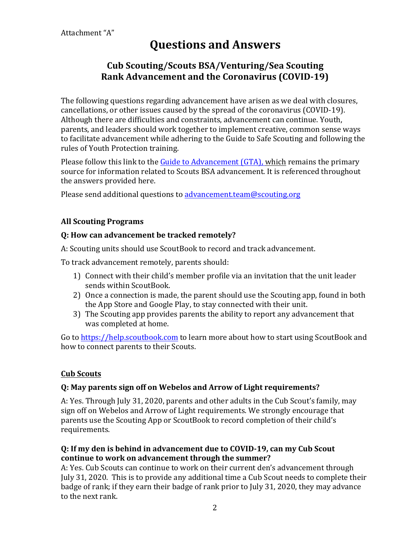# **Questions and Answers**

# **Cub Scouting/Scouts BSA/Venturing/Sea Scouting Rank Advancement and the Coronavirus (COVID-19)**

The following questions regarding advancement have arisen as we deal with closures, cancellations, or other issues caused by the spread of the coronavirus (COVID-19). Although there are difficulties and constraints, advancement can continue. Youth, parents, and leaders should work together to implement creative, common sense ways to facilitate advancement while adhering to the Guide to Safe Scouting and following the rules of Youth Protection training.

Please follow this link to the Guide to Advancement (GTA), which remains the primary source for information related to Scouts BSA advancement. It is referenced throughout the answers provided here.

Please send additional questions to advancement team@scouting.org

# **All Scouting Programs**

#### **Q: How can advancement be tracked remotely?**

A: Scouting units should use ScoutBook to record and track advancement.

To track advancement remotely, parents should:

- 1) Connect with their child's member profile via an invitation that the unit leader sends within ScoutBook.
- 2) Once a connection is made, the parent should use the Scouting app, found in both the App Store and Google Play, to stay connected with their unit.
- 3) The Scouting app provides parents the ability to report any advancement that was completed at home.

Go to https://help.scoutbook.com to learn more about how to start using ScoutBook and how to connect parents to their Scouts.

# **Cub Scouts**

# **Q: May parents sign off on Webelos and Arrow of Light requirements?**

A: Yes. Through July 31, 2020, parents and other adults in the Cub Scout's family, may sign off on Webelos and Arrow of Light requirements. We strongly encourage that parents use the Scouting App or ScoutBook to record completion of their child's requirements. 

# **Q:** If my den is behind in advancement due to COVID-19, can my Cub Scout continue to work on advancement through the summer?

A: Yes. Cub Scouts can continue to work on their current den's advancement through July 31, 2020. This is to provide any additional time a Cub Scout needs to complete their badge of rank; if they earn their badge of rank prior to July 31, 2020, they may advance to the next rank.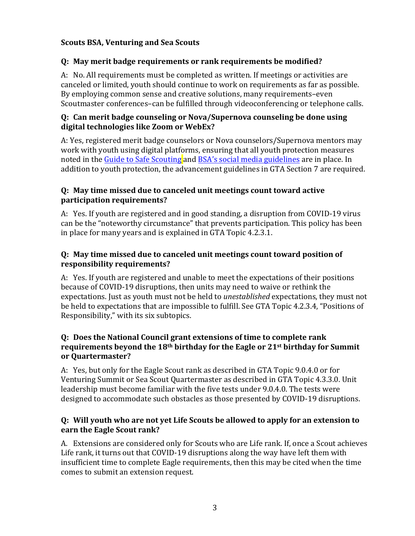# **Scouts BSA, Venturing and Sea Scouts**

#### **Q: May merit badge requirements or rank requirements be modified?**

A: No. All requirements must be completed as written. If meetings or activities are canceled or limited, youth should continue to work on requirements as far as possible. By employing common sense and creative solutions, many requirements–even Scoutmaster conferences–can be fulfilled through videoconferencing or telephone calls.

#### **Q: Can merit badge counseling or Nova/Supernova counseling be done using** digital technologies like Zoom or WebEx?

A: Yes, registered merit badge counselors or Nova counselors/Supernova mentors may work with youth using digital platforms, ensuring that all youth protection measures noted in the Guide to Safe Scouting and BSA's social media guidelines are in place. In addition to youth protection, the advancement guidelines in GTA Section 7 are required.

#### **Q: May time missed due to canceled unit meetings count toward active participation requirements?**

A: Yes. If youth are registered and in good standing, a disruption from COVID-19 virus can be the "noteworthy circumstance" that prevents participation. This policy has been in place for many years and is explained in GTA Topic 4.2.3.1.

# **Q:** May time missed due to canceled unit meetings count toward position of **responsibility requirements?**

A: Yes. If youth are registered and unable to meet the expectations of their positions because of COVID-19 disruptions, then units may need to waive or rethink the expectations. Just as youth must not be held to *unestablished* expectations, they must not be held to expectations that are impossible to fulfill. See GTA Topic 4.2.3.4, "Positions of Responsibility," with its six subtopics.

#### **Q: Does the National Council grant extensions of time to complete rank**  requirements beyond the 18<sup>th</sup> birthday for the Eagle or 21<sup>st</sup> birthday for Summit **or Quartermaster?**

A: Yes, but only for the Eagle Scout rank as described in GTA Topic 9.0.4.0 or for Venturing Summit or Sea Scout Quartermaster as described in GTA Topic 4.3.3.0. Unit leadership must become familiar with the five tests under 9.0.4.0. The tests were designed to accommodate such obstacles as those presented by COVID-19 disruptions.

#### **Q: Will youth who are not yet Life Scouts be allowed to apply for an extension to earn the Eagle Scout rank?**

A. Extensions are considered only for Scouts who are Life rank. If, once a Scout achieves Life rank, it turns out that COVID-19 disruptions along the way have left them with insufficient time to complete Eagle requirements, then this may be cited when the time comes to submit an extension request.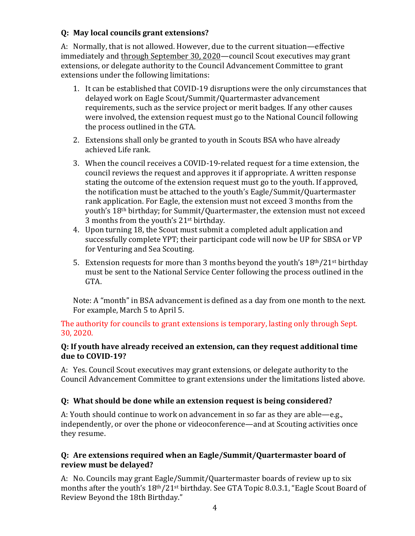# **Q: May local councils grant extensions?**

A: Normally, that is not allowed. However, due to the current situation—effective immediately and through September 30, 2020—council Scout executives may grant extensions, or delegate authority to the Council Advancement Committee to grant extensions under the following limitations:

- 1. It can be established that COVID-19 disruptions were the only circumstances that delayed work on Eagle Scout/Summit/Quartermaster advancement requirements, such as the service project or merit badges. If any other causes were involved, the extension request must go to the National Council following the process outlined in the GTA.
- 2. Extensions shall only be granted to youth in Scouts BSA who have already achieved Life rank.
- 3. When the council receives a COVID-19-related request for a time extension, the council reviews the request and approves it if appropriate. A written response stating the outcome of the extension request must go to the youth. If approved, the notification must be attached to the youth's Eagle/Summit/Quartermaster rank application. For Eagle, the extension must not exceed 3 months from the youth's 18<sup>th</sup> birthday; for Summit/Quartermaster, the extension must not exceed 3 months from the youth's  $21$ <sup>st</sup> birthday.
- 4. Upon turning 18, the Scout must submit a completed adult application and successfully complete YPT; their participant code will now be UP for SBSA or VP for Venturing and Sea Scouting.
- 5. Extension requests for more than 3 months beyond the youth's  $18<sup>th</sup>/21<sup>st</sup>$  birthday must be sent to the National Service Center following the process outlined in the GTA.

Note: A "month" in BSA advancement is defined as a day from one month to the next. For example, March 5 to April 5.

The authority for councils to grant extensions is temporary, lasting only through Sept. 30, 2020. 

#### **Q:** If youth have already received an extension, can they request additional time due to COVID-19?

A: Yes. Council Scout executives may grant extensions, or delegate authority to the Council Advancement Committee to grant extensions under the limitations listed above.

# **Q:** What should be done while an extension request is being considered?

A: Youth should continue to work on advancement in so far as they are able—e.g., independently, or over the phone or videoconference—and at Scouting activities once they resume.

# **Q: Are extensions required when an Eagle/Summit/Quartermaster board of review must be delayed?**

A: No. Councils may grant Eagle/Summit/Quartermaster boards of review up to six months after the youth's  $18th/21st$  birthday. See GTA Topic 8.0.3.1, "Eagle Scout Board of Review Beyond the 18th Birthday."